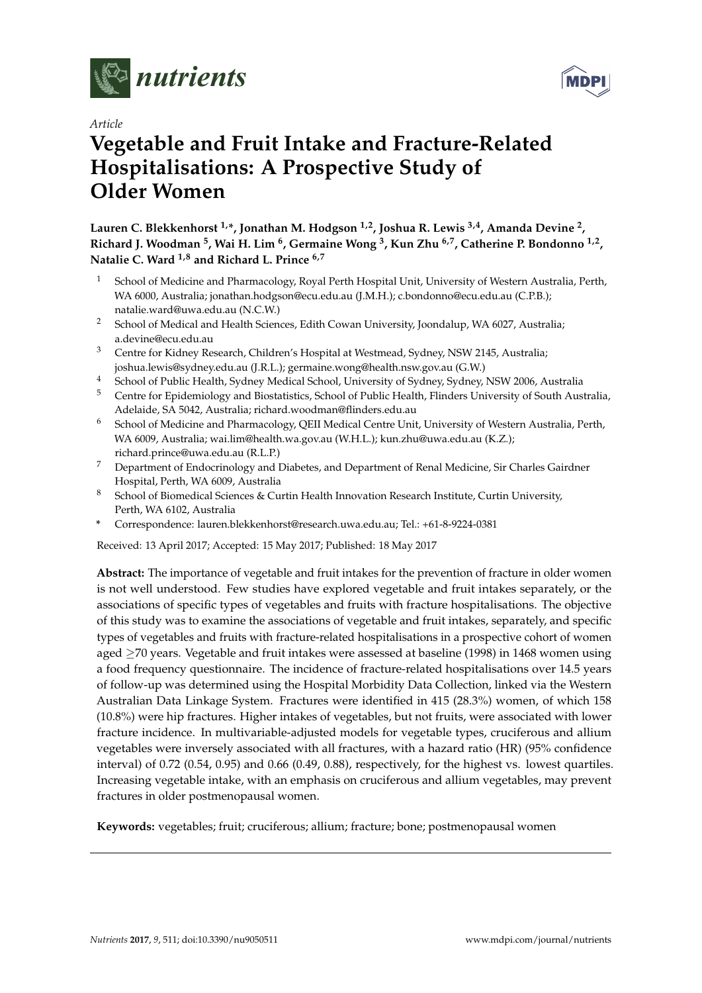



# **Vegetable and Fruit Intake and Fracture-Related Hospitalisations: A Prospective Study of Older Women**

**Lauren C. Blekkenhorst 1,\*, Jonathan M. Hodgson 1,2, Joshua R. Lewis 3,4, Amanda Devine <sup>2</sup> , Richard J. Woodman <sup>5</sup> , Wai H. Lim <sup>6</sup> , Germaine Wong <sup>3</sup> , Kun Zhu 6,7, Catherine P. Bondonno 1,2 , Natalie C. Ward 1,8 and Richard L. Prince 6,7**

- <sup>1</sup> School of Medicine and Pharmacology, Royal Perth Hospital Unit, University of Western Australia, Perth, WA 6000, Australia; jonathan.hodgson@ecu.edu.au (J.M.H.); c.bondonno@ecu.edu.au (C.P.B.); natalie.ward@uwa.edu.au (N.C.W.)
- <sup>2</sup> School of Medical and Health Sciences, Edith Cowan University, Joondalup, WA 6027, Australia; a.devine@ecu.edu.au
- <sup>3</sup> Centre for Kidney Research, Children's Hospital at Westmead, Sydney, NSW 2145, Australia; joshua.lewis@sydney.edu.au (J.R.L.); germaine.wong@health.nsw.gov.au (G.W.)
- <sup>4</sup> School of Public Health, Sydney Medical School, University of Sydney, Sydney, NSW 2006, Australia
- <sup>5</sup> Centre for Epidemiology and Biostatistics, School of Public Health, Flinders University of South Australia, Adelaide, SA 5042, Australia; richard.woodman@flinders.edu.au
- <sup>6</sup> School of Medicine and Pharmacology, QEII Medical Centre Unit, University of Western Australia, Perth, WA 6009, Australia; wai.lim@health.wa.gov.au (W.H.L.); kun.zhu@uwa.edu.au (K.Z.); richard.prince@uwa.edu.au (R.L.P.)
- <sup>7</sup> Department of Endocrinology and Diabetes, and Department of Renal Medicine, Sir Charles Gairdner Hospital, Perth, WA 6009, Australia
- 8 School of Biomedical Sciences & Curtin Health Innovation Research Institute, Curtin University, Perth, WA 6102, Australia
- **\*** Correspondence: lauren.blekkenhorst@research.uwa.edu.au; Tel.: +61-8-9224-0381

Received: 13 April 2017; Accepted: 15 May 2017; Published: 18 May 2017

**Abstract:** The importance of vegetable and fruit intakes for the prevention of fracture in older women is not well understood. Few studies have explored vegetable and fruit intakes separately, or the associations of specific types of vegetables and fruits with fracture hospitalisations. The objective of this study was to examine the associations of vegetable and fruit intakes, separately, and specific types of vegetables and fruits with fracture-related hospitalisations in a prospective cohort of women aged ≥70 years. Vegetable and fruit intakes were assessed at baseline (1998) in 1468 women using a food frequency questionnaire. The incidence of fracture-related hospitalisations over 14.5 years of follow-up was determined using the Hospital Morbidity Data Collection, linked via the Western Australian Data Linkage System. Fractures were identified in 415 (28.3%) women, of which 158 (10.8%) were hip fractures. Higher intakes of vegetables, but not fruits, were associated with lower fracture incidence. In multivariable-adjusted models for vegetable types, cruciferous and allium vegetables were inversely associated with all fractures, with a hazard ratio (HR) (95% confidence interval) of 0.72 (0.54, 0.95) and 0.66 (0.49, 0.88), respectively, for the highest vs. lowest quartiles. Increasing vegetable intake, with an emphasis on cruciferous and allium vegetables, may prevent fractures in older postmenopausal women.

**Keywords:** vegetables; fruit; cruciferous; allium; fracture; bone; postmenopausal women

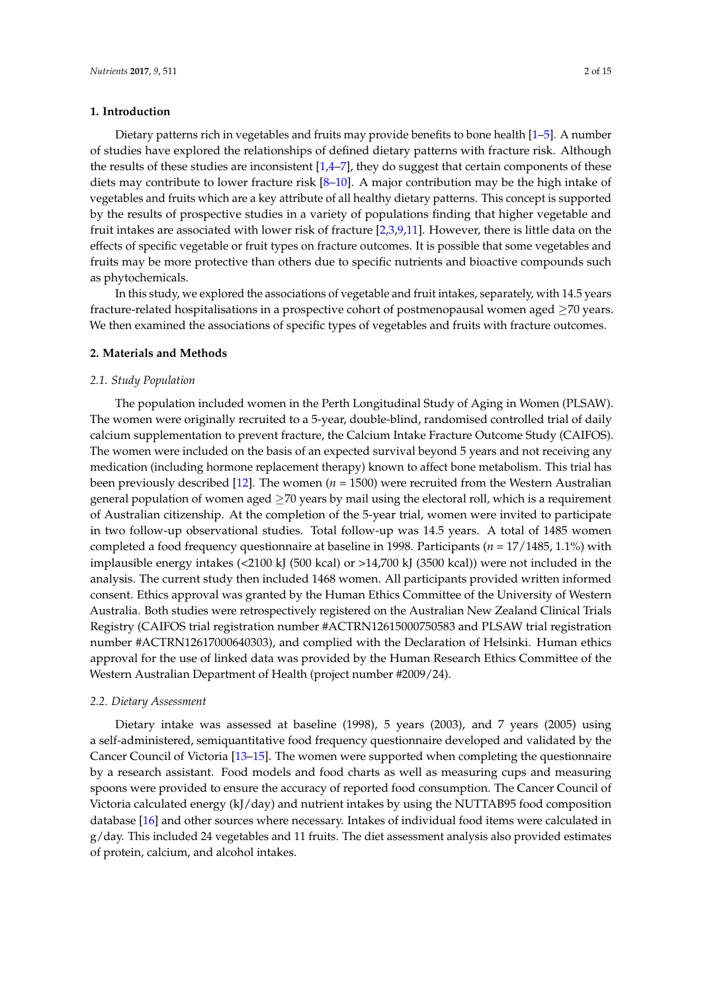## **1. Introduction**

Dietary patterns rich in vegetables and fruits may provide benefits to bone health [\[1](#page-12-0)[–5\]](#page-12-1). A number of studies have explored the relationships of defined dietary patterns with fracture risk. Although the results of these studies are inconsistent  $[1,4-7]$  $[1,4-7]$  $[1,4-7]$ , they do suggest that certain components of these diets may contribute to lower fracture risk [\[8](#page-12-4)[–10\]](#page-12-5). A major contribution may be the high intake of vegetables and fruits which are a key attribute of all healthy dietary patterns. This concept is supported by the results of prospective studies in a variety of populations finding that higher vegetable and fruit intakes are associated with lower risk of fracture [\[2,](#page-12-6)[3,](#page-12-7)[9](#page-12-8)[,11\]](#page-12-9). However, there is little data on the effects of specific vegetable or fruit types on fracture outcomes. It is possible that some vegetables and fruits may be more protective than others due to specific nutrients and bioactive compounds such as phytochemicals.

In this study, we explored the associations of vegetable and fruit intakes, separately, with 14.5 years fracture-related hospitalisations in a prospective cohort of postmenopausal women aged  $\geq$ 70 years. We then examined the associations of specific types of vegetables and fruits with fracture outcomes.

## **2. Materials and Methods**

## *2.1. Study Population*

The population included women in the Perth Longitudinal Study of Aging in Women (PLSAW). The women were originally recruited to a 5-year, double-blind, randomised controlled trial of daily calcium supplementation to prevent fracture, the Calcium Intake Fracture Outcome Study (CAIFOS). The women were included on the basis of an expected survival beyond 5 years and not receiving any medication (including hormone replacement therapy) known to affect bone metabolism. This trial has been previously described  $[12]$ . The women ( $n = 1500$ ) were recruited from the Western Australian general population of women aged  $\geq$ 70 years by mail using the electoral roll, which is a requirement of Australian citizenship. At the completion of the 5-year trial, women were invited to participate in two follow-up observational studies. Total follow-up was 14.5 years. A total of 1485 women completed a food frequency questionnaire at baseline in 1998. Participants (*n* = 17/1485, 1.1%) with implausible energy intakes (<2100 kJ (500 kcal) or >14,700 kJ (3500 kcal)) were not included in the analysis. The current study then included 1468 women. All participants provided written informed consent. Ethics approval was granted by the Human Ethics Committee of the University of Western Australia. Both studies were retrospectively registered on the Australian New Zealand Clinical Trials Registry (CAIFOS trial registration number #ACTRN12615000750583 and PLSAW trial registration number #ACTRN12617000640303), and complied with the Declaration of Helsinki. Human ethics approval for the use of linked data was provided by the Human Research Ethics Committee of the Western Australian Department of Health (project number #2009/24).

## *2.2. Dietary Assessment*

Dietary intake was assessed at baseline (1998), 5 years (2003), and 7 years (2005) using a self-administered, semiquantitative food frequency questionnaire developed and validated by the Cancer Council of Victoria [\[13–](#page-12-11)[15\]](#page-13-0). The women were supported when completing the questionnaire by a research assistant. Food models and food charts as well as measuring cups and measuring spoons were provided to ensure the accuracy of reported food consumption. The Cancer Council of Victoria calculated energy (kJ/day) and nutrient intakes by using the NUTTAB95 food composition database [\[16\]](#page-13-1) and other sources where necessary. Intakes of individual food items were calculated in  $g$ /day. This included 24 vegetables and 11 fruits. The diet assessment analysis also provided estimates of protein, calcium, and alcohol intakes.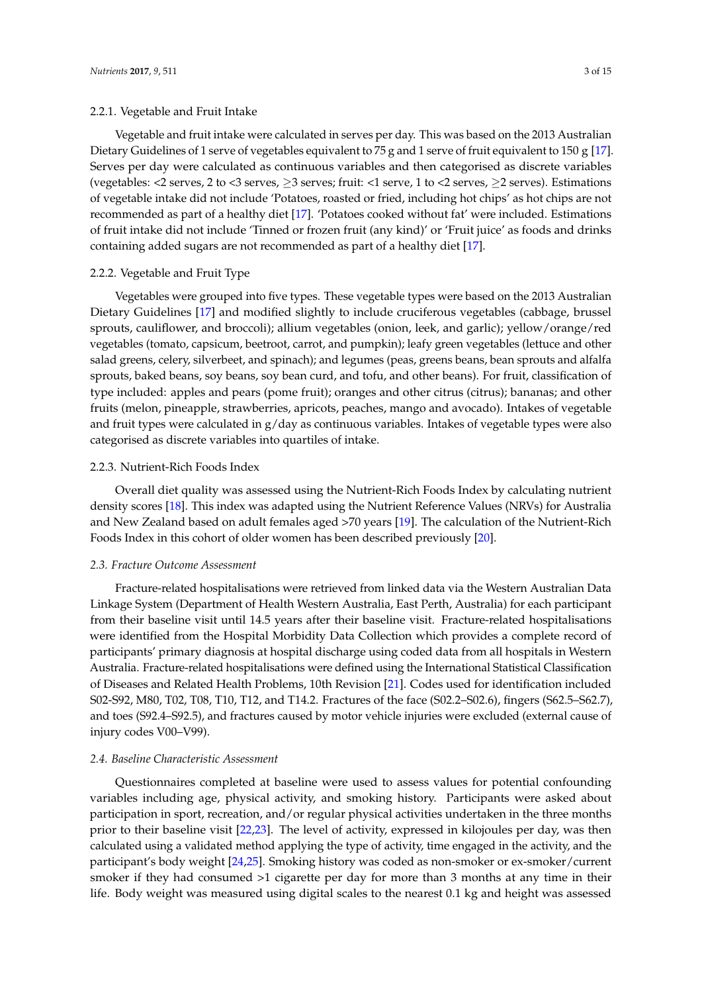Vegetable and fruit intake were calculated in serves per day. This was based on the 2013 Australian Dietary Guidelines of 1 serve of vegetables equivalent to 75 g and 1 serve of fruit equivalent to 150 g [\[17\]](#page-13-2). Serves per day were calculated as continuous variables and then categorised as discrete variables (vegetables: <2 serves, 2 to <3 serves, ≥3 serves; fruit: <1 serve, 1 to <2 serves, ≥2 serves). Estimations of vegetable intake did not include 'Potatoes, roasted or fried, including hot chips' as hot chips are not recommended as part of a healthy diet [\[17\]](#page-13-2). 'Potatoes cooked without fat' were included. Estimations of fruit intake did not include 'Tinned or frozen fruit (any kind)' or 'Fruit juice' as foods and drinks containing added sugars are not recommended as part of a healthy diet [\[17\]](#page-13-2).

#### 2.2.2. Vegetable and Fruit Type

2.2.1. Vegetable and Fruit Intake

Vegetables were grouped into five types. These vegetable types were based on the 2013 Australian Dietary Guidelines [\[17\]](#page-13-2) and modified slightly to include cruciferous vegetables (cabbage, brussel sprouts, cauliflower, and broccoli); allium vegetables (onion, leek, and garlic); yellow/orange/red vegetables (tomato, capsicum, beetroot, carrot, and pumpkin); leafy green vegetables (lettuce and other salad greens, celery, silverbeet, and spinach); and legumes (peas, greens beans, bean sprouts and alfalfa sprouts, baked beans, soy beans, soy bean curd, and tofu, and other beans). For fruit, classification of type included: apples and pears (pome fruit); oranges and other citrus (citrus); bananas; and other fruits (melon, pineapple, strawberries, apricots, peaches, mango and avocado). Intakes of vegetable and fruit types were calculated in g/day as continuous variables. Intakes of vegetable types were also categorised as discrete variables into quartiles of intake.

#### 2.2.3. Nutrient-Rich Foods Index

Overall diet quality was assessed using the Nutrient-Rich Foods Index by calculating nutrient density scores [\[18\]](#page-13-3). This index was adapted using the Nutrient Reference Values (NRVs) for Australia and New Zealand based on adult females aged >70 years [\[19\]](#page-13-4). The calculation of the Nutrient-Rich Foods Index in this cohort of older women has been described previously [\[20\]](#page-13-5).

## *2.3. Fracture Outcome Assessment*

Fracture-related hospitalisations were retrieved from linked data via the Western Australian Data Linkage System (Department of Health Western Australia, East Perth, Australia) for each participant from their baseline visit until 14.5 years after their baseline visit. Fracture-related hospitalisations were identified from the Hospital Morbidity Data Collection which provides a complete record of participants' primary diagnosis at hospital discharge using coded data from all hospitals in Western Australia. Fracture-related hospitalisations were defined using the International Statistical Classification of Diseases and Related Health Problems, 10th Revision [\[21\]](#page-13-6). Codes used for identification included S02-S92, M80, T02, T08, T10, T12, and T14.2. Fractures of the face (S02.2–S02.6), fingers (S62.5–S62.7), and toes (S92.4–S92.5), and fractures caused by motor vehicle injuries were excluded (external cause of injury codes V00–V99).

#### *2.4. Baseline Characteristic Assessment*

Questionnaires completed at baseline were used to assess values for potential confounding variables including age, physical activity, and smoking history. Participants were asked about participation in sport, recreation, and/or regular physical activities undertaken in the three months prior to their baseline visit [\[22,](#page-13-7)[23\]](#page-13-8). The level of activity, expressed in kilojoules per day, was then calculated using a validated method applying the type of activity, time engaged in the activity, and the participant's body weight [\[24,](#page-13-9)[25\]](#page-13-10). Smoking history was coded as non-smoker or ex-smoker/current smoker if they had consumed >1 cigarette per day for more than 3 months at any time in their life. Body weight was measured using digital scales to the nearest 0.1 kg and height was assessed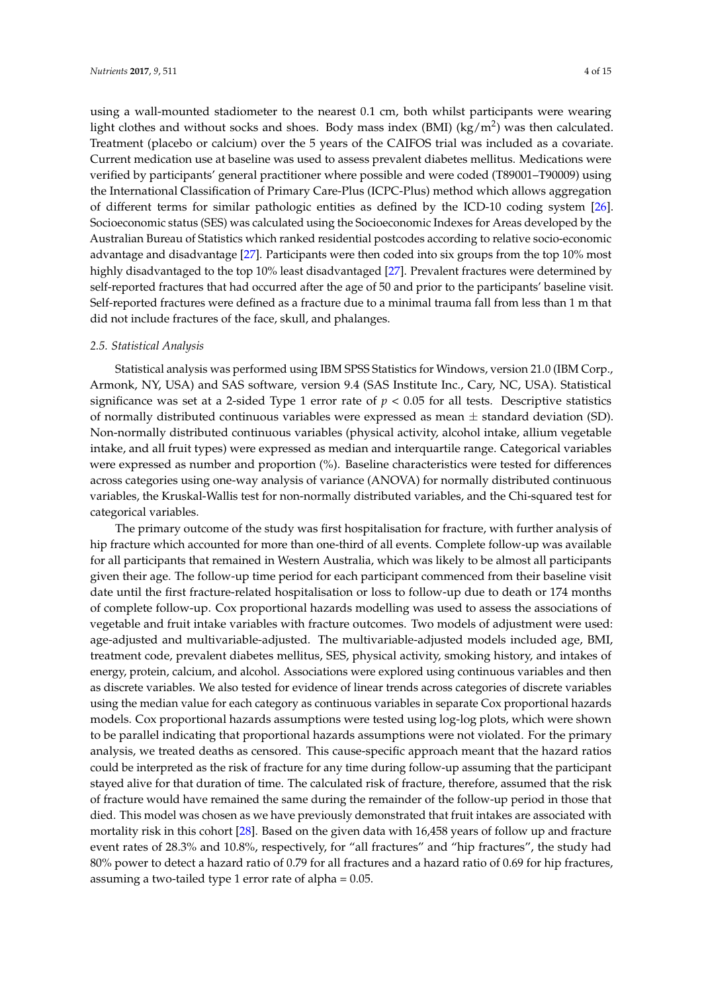using a wall-mounted stadiometer to the nearest 0.1 cm, both whilst participants were wearing light clothes and without socks and shoes. Body mass index (BMI) (kg/m<sup>2</sup>) was then calculated. Treatment (placebo or calcium) over the 5 years of the CAIFOS trial was included as a covariate. Current medication use at baseline was used to assess prevalent diabetes mellitus. Medications were verified by participants' general practitioner where possible and were coded (T89001–T90009) using the International Classification of Primary Care-Plus (ICPC-Plus) method which allows aggregation of different terms for similar pathologic entities as defined by the ICD-10 coding system [\[26\]](#page-13-11). Socioeconomic status (SES) was calculated using the Socioeconomic Indexes for Areas developed by the Australian Bureau of Statistics which ranked residential postcodes according to relative socio-economic advantage and disadvantage [\[27\]](#page-13-12). Participants were then coded into six groups from the top 10% most highly disadvantaged to the top 10% least disadvantaged [\[27\]](#page-13-12). Prevalent fractures were determined by self-reported fractures that had occurred after the age of 50 and prior to the participants' baseline visit. Self-reported fractures were defined as a fracture due to a minimal trauma fall from less than 1 m that did not include fractures of the face, skull, and phalanges.

#### *2.5. Statistical Analysis*

Statistical analysis was performed using IBM SPSS Statistics for Windows, version 21.0 (IBM Corp., Armonk, NY, USA) and SAS software, version 9.4 (SAS Institute Inc., Cary, NC, USA). Statistical significance was set at a 2-sided Type 1 error rate of  $p < 0.05$  for all tests. Descriptive statistics of normally distributed continuous variables were expressed as mean  $\pm$  standard deviation (SD). Non-normally distributed continuous variables (physical activity, alcohol intake, allium vegetable intake, and all fruit types) were expressed as median and interquartile range. Categorical variables were expressed as number and proportion (%). Baseline characteristics were tested for differences across categories using one-way analysis of variance (ANOVA) for normally distributed continuous variables, the Kruskal-Wallis test for non-normally distributed variables, and the Chi-squared test for categorical variables.

The primary outcome of the study was first hospitalisation for fracture, with further analysis of hip fracture which accounted for more than one-third of all events. Complete follow-up was available for all participants that remained in Western Australia, which was likely to be almost all participants given their age. The follow-up time period for each participant commenced from their baseline visit date until the first fracture-related hospitalisation or loss to follow-up due to death or 174 months of complete follow-up. Cox proportional hazards modelling was used to assess the associations of vegetable and fruit intake variables with fracture outcomes. Two models of adjustment were used: age-adjusted and multivariable-adjusted. The multivariable-adjusted models included age, BMI, treatment code, prevalent diabetes mellitus, SES, physical activity, smoking history, and intakes of energy, protein, calcium, and alcohol. Associations were explored using continuous variables and then as discrete variables. We also tested for evidence of linear trends across categories of discrete variables using the median value for each category as continuous variables in separate Cox proportional hazards models. Cox proportional hazards assumptions were tested using log-log plots, which were shown to be parallel indicating that proportional hazards assumptions were not violated. For the primary analysis, we treated deaths as censored. This cause-specific approach meant that the hazard ratios could be interpreted as the risk of fracture for any time during follow-up assuming that the participant stayed alive for that duration of time. The calculated risk of fracture, therefore, assumed that the risk of fracture would have remained the same during the remainder of the follow-up period in those that died. This model was chosen as we have previously demonstrated that fruit intakes are associated with mortality risk in this cohort [\[28\]](#page-13-13). Based on the given data with 16,458 years of follow up and fracture event rates of 28.3% and 10.8%, respectively, for "all fractures" and "hip fractures", the study had 80% power to detect a hazard ratio of 0.79 for all fractures and a hazard ratio of 0.69 for hip fractures, assuming a two-tailed type 1 error rate of alpha = 0.05.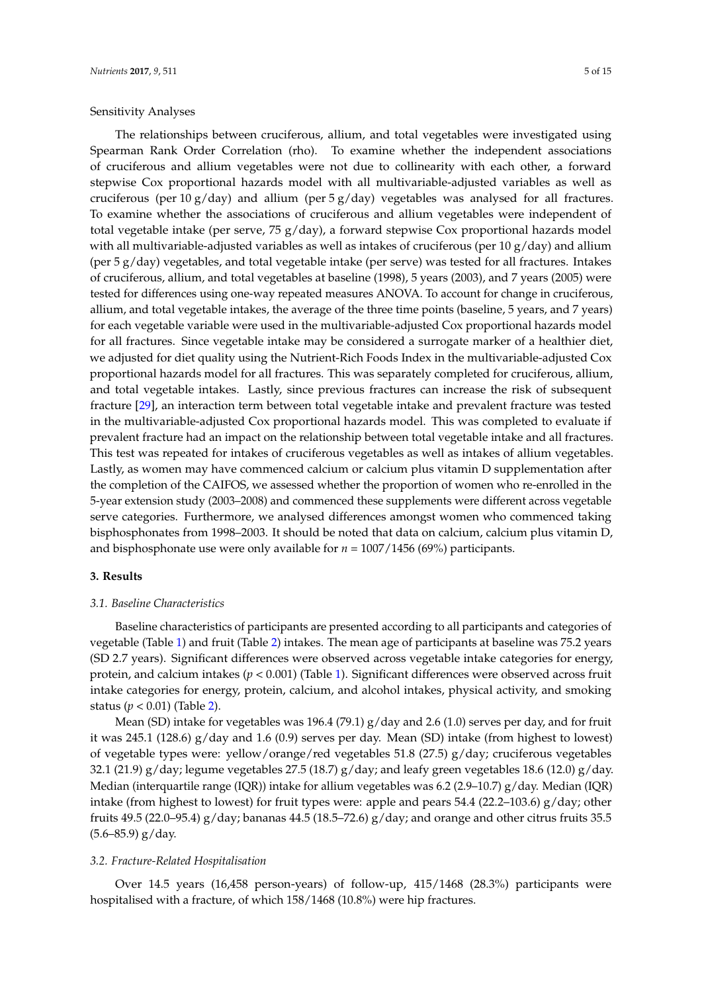#### Sensitivity Analyses

The relationships between cruciferous, allium, and total vegetables were investigated using Spearman Rank Order Correlation (rho). To examine whether the independent associations of cruciferous and allium vegetables were not due to collinearity with each other, a forward stepwise Cox proportional hazards model with all multivariable-adjusted variables as well as cruciferous (per 10 g/day) and allium (per  $5 g/day$ ) vegetables was analysed for all fractures. To examine whether the associations of cruciferous and allium vegetables were independent of total vegetable intake (per serve,  $75 g/day$ ), a forward stepwise Cox proportional hazards model with all multivariable-adjusted variables as well as intakes of cruciferous (per 10  $g/day$ ) and allium (per 5 g/day) vegetables, and total vegetable intake (per serve) was tested for all fractures. Intakes of cruciferous, allium, and total vegetables at baseline (1998), 5 years (2003), and 7 years (2005) were tested for differences using one-way repeated measures ANOVA. To account for change in cruciferous, allium, and total vegetable intakes, the average of the three time points (baseline, 5 years, and 7 years) for each vegetable variable were used in the multivariable-adjusted Cox proportional hazards model for all fractures. Since vegetable intake may be considered a surrogate marker of a healthier diet, we adjusted for diet quality using the Nutrient-Rich Foods Index in the multivariable-adjusted Cox proportional hazards model for all fractures. This was separately completed for cruciferous, allium, and total vegetable intakes. Lastly, since previous fractures can increase the risk of subsequent fracture [\[29\]](#page-13-14), an interaction term between total vegetable intake and prevalent fracture was tested in the multivariable-adjusted Cox proportional hazards model. This was completed to evaluate if prevalent fracture had an impact on the relationship between total vegetable intake and all fractures. This test was repeated for intakes of cruciferous vegetables as well as intakes of allium vegetables. Lastly, as women may have commenced calcium or calcium plus vitamin D supplementation after the completion of the CAIFOS, we assessed whether the proportion of women who re-enrolled in the 5-year extension study (2003–2008) and commenced these supplements were different across vegetable serve categories. Furthermore, we analysed differences amongst women who commenced taking bisphosphonates from 1998–2003. It should be noted that data on calcium, calcium plus vitamin D, and bisphosphonate use were only available for  $n = 1007/1456$  (69%) participants.

## **3. Results**

## *3.1. Baseline Characteristics*

Baseline characteristics of participants are presented according to all participants and categories of vegetable (Table [1\)](#page-5-0) and fruit (Table [2\)](#page-6-0) intakes. The mean age of participants at baseline was 75.2 years (SD 2.7 years). Significant differences were observed across vegetable intake categories for energy, protein, and calcium intakes (*p* < 0.001) (Table [1\)](#page-5-0). Significant differences were observed across fruit intake categories for energy, protein, calcium, and alcohol intakes, physical activity, and smoking status (*p* < 0.01) (Table [2\)](#page-6-0).

Mean (SD) intake for vegetables was 196.4 (79.1)  $g$ /day and 2.6 (1.0) serves per day, and for fruit it was 245.1 (128.6) g/day and 1.6 (0.9) serves per day. Mean (SD) intake (from highest to lowest) of vegetable types were: yellow/orange/red vegetables 51.8 (27.5) g/day; cruciferous vegetables 32.1 (21.9)  $g$ /day; legume vegetables 27.5 (18.7)  $g$ /day; and leafy green vegetables 18.6 (12.0)  $g$ /day. Median (interquartile range (IQR)) intake for allium vegetables was 6.2 (2.9–10.7) g/day. Median (IQR) intake (from highest to lowest) for fruit types were: apple and pears 54.4 (22.2–103.6) g/day; other fruits 49.5 (22.0–95.4)  $g$ /day; bananas 44.5 (18.5–72.6)  $g$ /day; and orange and other citrus fruits 35.5  $(5.6–85.9)$  g/day.

#### *3.2. Fracture-Related Hospitalisation*

Over 14.5 years (16,458 person-years) of follow-up, 415/1468 (28.3%) participants were hospitalised with a fracture, of which 158/1468 (10.8%) were hip fractures.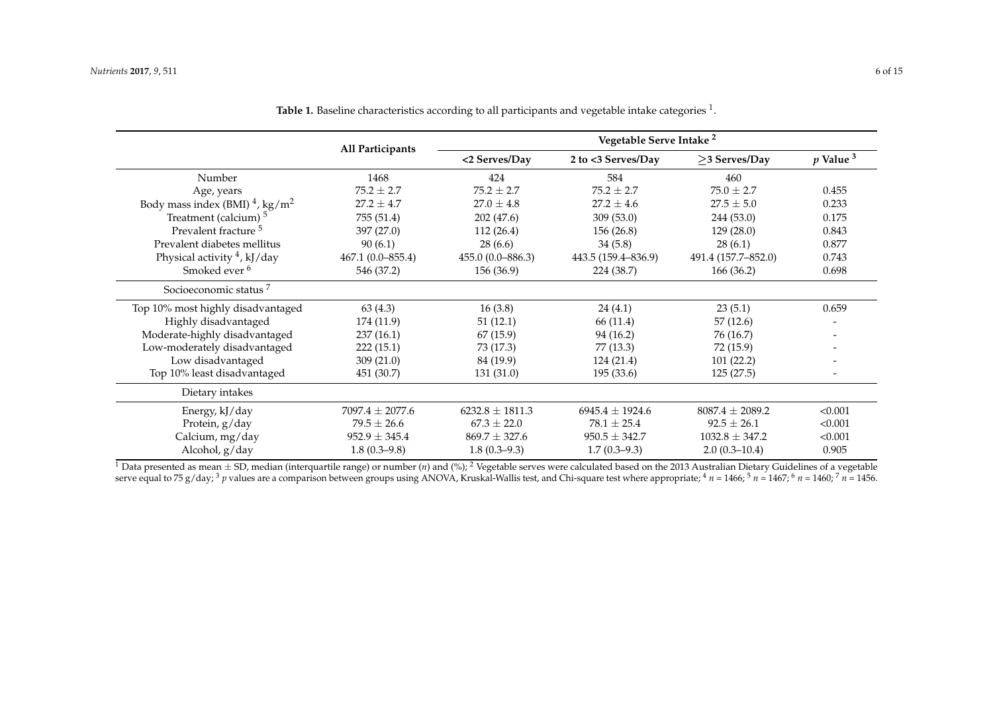|                                                | All Participants     | Vegetable Serve Intake <sup>2</sup> |                     |                     |               |  |
|------------------------------------------------|----------------------|-------------------------------------|---------------------|---------------------|---------------|--|
|                                                |                      | <2 Serves/Day                       | 2 to <3 Serves/Day  | $>3$ Serves/Day     | $p$ Value $3$ |  |
| Number                                         | 1468                 | 424                                 | 584                 | 460                 |               |  |
| Age, years                                     | $75.2 \pm 2.7$       | $75.2 \pm 2.7$                      | $75.2 \pm 2.7$      | $75.0 \pm 2.7$      | 0.455         |  |
| Body mass index (BMI) $^4$ , kg/m <sup>2</sup> | $27.2 \pm 4.7$       | $27.0 \pm 4.8$                      | $27.2 \pm 4.6$      | $27.5 \pm 5.0$      | 0.233         |  |
| Treatment (calcium) <sup>5</sup>               | 755 (51.4)           | 202 (47.6)                          | 309 (53.0)          | 244 (53.0)          | 0.175         |  |
| Prevalent fracture <sup>5</sup>                | 397 (27.0)           | 112(26.4)                           | 156(26.8)           | 129(28.0)           | 0.843         |  |
| Prevalent diabetes mellitus                    | 90(6.1)              | 28(6.6)                             | 34(5.8)             | 28(6.1)             | 0.877         |  |
| Physical activity $4$ , kJ/day                 | $467.1(0.0 - 855.4)$ | $455.0(0.0 - 886.3)$                | 443.5 (159.4-836.9) | 491.4 (157.7-852.0) | 0.743         |  |
| Smoked ever <sup>6</sup>                       | 546 (37.2)           | 156 (36.9)                          | 224 (38.7)          | 166(36.2)           | 0.698         |  |
| Socioeconomic status <sup>7</sup>              |                      |                                     |                     |                     |               |  |
| Top 10% most highly disadvantaged              | 63(4.3)              | 16(3.8)                             | 24(4.1)             | 23(5.1)             | 0.659         |  |
| Highly disadvantaged                           | 174 (11.9)           | 51(12.1)                            | 66 (11.4)           | 57 (12.6)           |               |  |
| Moderate-highly disadvantaged                  | 237(16.1)            | 67(15.9)                            | 94 (16.2)           | 76 (16.7)           |               |  |
| Low-moderately disadvantaged                   | 222(15.1)            | 73 (17.3)                           | 77 (13.3)           | 72 (15.9)           |               |  |
| Low disadvantaged                              | 309(21.0)            | 84 (19.9)                           | 124 (21.4)          | 101(22.2)           |               |  |
| Top 10% least disadvantaged                    | 451 (30.7)           | 131 (31.0)                          | 195 (33.6)          | 125(27.5)           | -             |  |
| Dietary intakes                                |                      |                                     |                     |                     |               |  |
| Energy, kJ/day                                 | $7097.4 \pm 2077.6$  | $6232.8 \pm 1811.3$                 | $6945.4 \pm 1924.6$ | $8087.4 \pm 2089.2$ | < 0.001       |  |
| Protein, g/day                                 | $79.5 \pm 26.6$      | $67.3 \pm 22.0$                     | $78.1 \pm 25.4$     | $92.5 \pm 26.1$     | < 0.001       |  |
| Calcium, mg/day                                | $952.9 \pm 345.4$    | $869.7 \pm 327.6$                   | $950.5 \pm 342.7$   | $1032.8 \pm 347.2$  | < 0.001       |  |
| Alcohol, g/day                                 | $1.8(0.3 - 9.8)$     | $1.8(0.3 - 9.3)$                    | $1.7(0.3-9.3)$      | $2.0(0.3-10.4)$     | 0.905         |  |

**Table 1.** Baseline characteristics according to all participants and vegetable intake categories  $^1$ .

<span id="page-5-0"></span> $^1$  Data presented as mean  $\pm$  SD, median (interquartile range) or number (*n*) and (%);  $^2$  Vegetable serves were calculated based on the 2013 Australian Dietary Guidelines of a vegetable serve equal to 75 g/day; <sup>3</sup> *p* values are a comparison between groups using ANOVA, Kruskal-Wallis test, and Chi-square test where appropriate; <sup>4</sup> *n* = 1466; <sup>5</sup> *n* = 1467; <sup>6</sup> *n* = 1460; <sup>7</sup> *n* = 1456.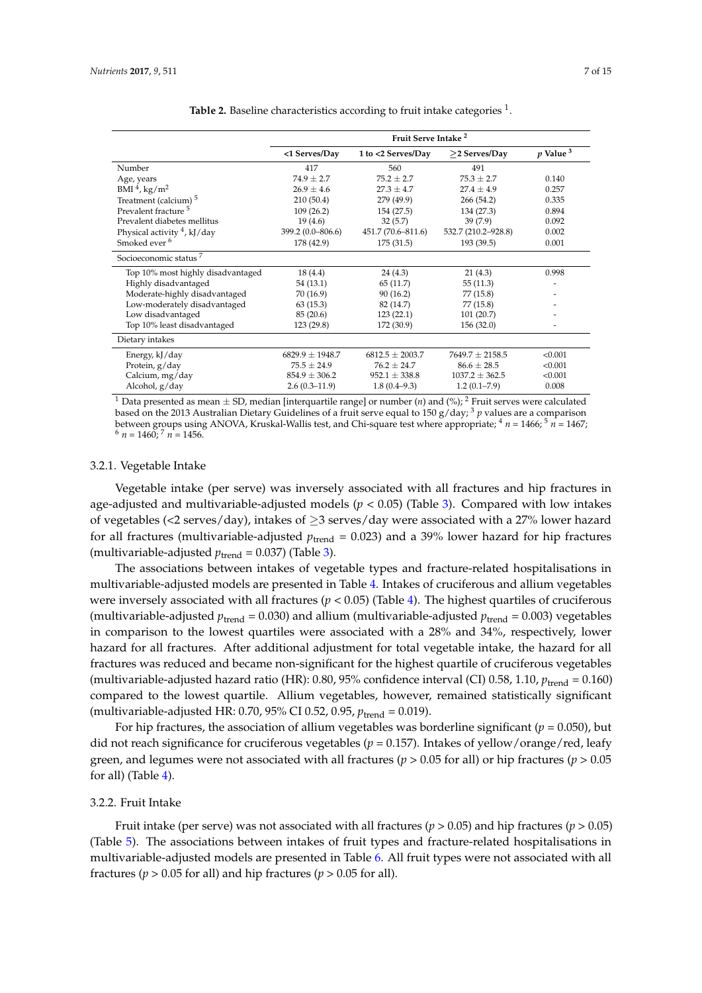<span id="page-6-0"></span>

|                                   | Fruit Serve Intake <sup>2</sup> |                     |                     |               |  |
|-----------------------------------|---------------------------------|---------------------|---------------------|---------------|--|
|                                   | <1 Serves/Day                   | 1 to <2 Serves/Day  | $>$ 2 Serves/Day    | $p$ Value $3$ |  |
| Number                            | 417                             | 560                 | 491                 |               |  |
| Age, years                        | $74.9 + 2.7$                    | $75.2 \pm 2.7$      | $75.3 \pm 2.7$      | 0.140         |  |
| BMI $^{4}$ , kg/m <sup>2</sup>    | $26.9 + 4.6$                    | $27.3 + 4.7$        | $27.4 + 4.9$        | 0.257         |  |
| Treatment (calcium) <sup>5</sup>  | 210(50.4)                       | 279 (49.9)          | 266 (54.2)          | 0.335         |  |
| Prevalent fracture <sup>5</sup>   | 109(26.2)                       | 154(27.5)           | 134 (27.3)          | 0.894         |  |
| Prevalent diabetes mellitus       | 19(4.6)                         | 32(5.7)             | 39(7.9)             | 0.092         |  |
| Physical activity $4$ , kJ/day    | 399.2 (0.0–806.6)               | 451.7 (70.6–811.6)  | 532.7 (210.2-928.8) | 0.002         |  |
| Smoked ever <sup>6</sup>          | 178 (42.9)                      | 175(31.5)           | 193 (39.5)          | 0.001         |  |
| Socioeconomic status <sup>7</sup> |                                 |                     |                     |               |  |
| Top 10% most highly disadvantaged | 18(4.4)                         | 24(4.3)             | 21(4.3)             | 0.998         |  |
| Highly disadvantaged              | 54 (13.1)                       | 65(11.7)            | 55(11.3)            |               |  |
| Moderate-highly disadvantaged     | 70 (16.9)                       | 90(16.2)            | 77 (15.8)           |               |  |
| Low-moderately disadvantaged      | 63(15.3)                        | 82 (14.7)           | 77 (15.8)           |               |  |
| Low disadvantaged                 | 85(20.6)                        | 123(22.1)           | 101(20.7)           |               |  |
| Top 10% least disadvantaged       | 123(29.8)                       | 172 (30.9)          | 156(32.0)           |               |  |
| Dietary intakes                   |                                 |                     |                     |               |  |
| Energy, kJ/day                    | $6829.9 \pm 1948.7$             | $6812.5 \pm 2003.7$ | $7649.7 \pm 2158.5$ | < 0.001       |  |
| Protein, g/day                    | $75.5 \pm 24.9$                 | $76.2 + 24.7$       | $86.6 \pm 28.5$     | < 0.001       |  |
| Calcium, mg/day                   | $854.9 \pm 306.2$               | $952.1 \pm 338.8$   | $1037.2 \pm 362.5$  | < 0.001       |  |
| Alcohol, g/day                    | $2.6(0.3-11.9)$                 | $1.8(0.4 - 9.3)$    | $1.2(0.1 - 7.9)$    | 0.008         |  |

**Table 2.** Baseline characteristics according to fruit intake categories  $^1$ .

<sup>1</sup> Data presented as mean  $\pm$  SD, median [interquartile range] or number (*n*) and (%); <sup>2</sup> Fruit serves were calculated based on the 2013 Australian Dietary Guidelines of a fruit serve equal to 150 g/day; <sup>3</sup> *p* values are a comparison between groups using ANOVA, Kruskal-Wallis test, and Chi-square test where appropriate;  $4 n = 1466$ ;  $5 n = 1467$ ;  $^{6}$  *n* = 1460;  $^{7}$  *n* = 1456.

#### 3.2.1. Vegetable Intake

Vegetable intake (per serve) was inversely associated with all fractures and hip fractures in age-adjusted and multivariable-adjusted models (*p* < 0.05) (Table [3\)](#page-7-0). Compared with low intakes of vegetables (<2 serves/day), intakes of  $\geq$ 3 serves/day were associated with a 27% lower hazard for all fractures (multivariable-adjusted  $p_{\text{trend}} = 0.023$ ) and a 39% lower hazard for hip fractures (multivariable-adjusted  $p_{\text{trend}} = 0.037$ ) (Table [3\)](#page-7-0).

The associations between intakes of vegetable types and fracture-related hospitalisations in multivariable-adjusted models are presented in Table [4.](#page-7-1) Intakes of cruciferous and allium vegetables were inversely associated with all fractures (*p* < 0.05) (Table [4\)](#page-7-1). The highest quartiles of cruciferous (multivariable-adjusted  $p_{\text{trend}} = 0.030$ ) and allium (multivariable-adjusted  $p_{\text{trend}} = 0.003$ ) vegetables in comparison to the lowest quartiles were associated with a 28% and 34%, respectively, lower hazard for all fractures. After additional adjustment for total vegetable intake, the hazard for all fractures was reduced and became non-significant for the highest quartile of cruciferous vegetables (multivariable-adjusted hazard ratio (HR): 0.80, 95% confidence interval (CI) 0.58, 1.10,  $p_{\text{trend}} = 0.160$ ) compared to the lowest quartile. Allium vegetables, however, remained statistically significant (multivariable-adjusted HR: 0.70, 95% CI 0.52, 0.95,  $p_{\text{trend}} = 0.019$ ).

For hip fractures, the association of allium vegetables was borderline significant (*p* = 0.050), but did not reach significance for cruciferous vegetables ( $p = 0.157$ ). Intakes of yellow/orange/red, leafy green, and legumes were not associated with all fractures (*p* > 0.05 for all) or hip fractures (*p* > 0.05 for all) (Table [4\)](#page-7-1).

#### 3.2.2. Fruit Intake

Fruit intake (per serve) was not associated with all fractures ( $p > 0.05$ ) and hip fractures ( $p > 0.05$ ) (Table [5\)](#page-8-0). The associations between intakes of fruit types and fracture-related hospitalisations in multivariable-adjusted models are presented in Table [6.](#page-9-0) All fruit types were not associated with all fractures ( $p > 0.05$  for all) and hip fractures ( $p > 0.05$  for all).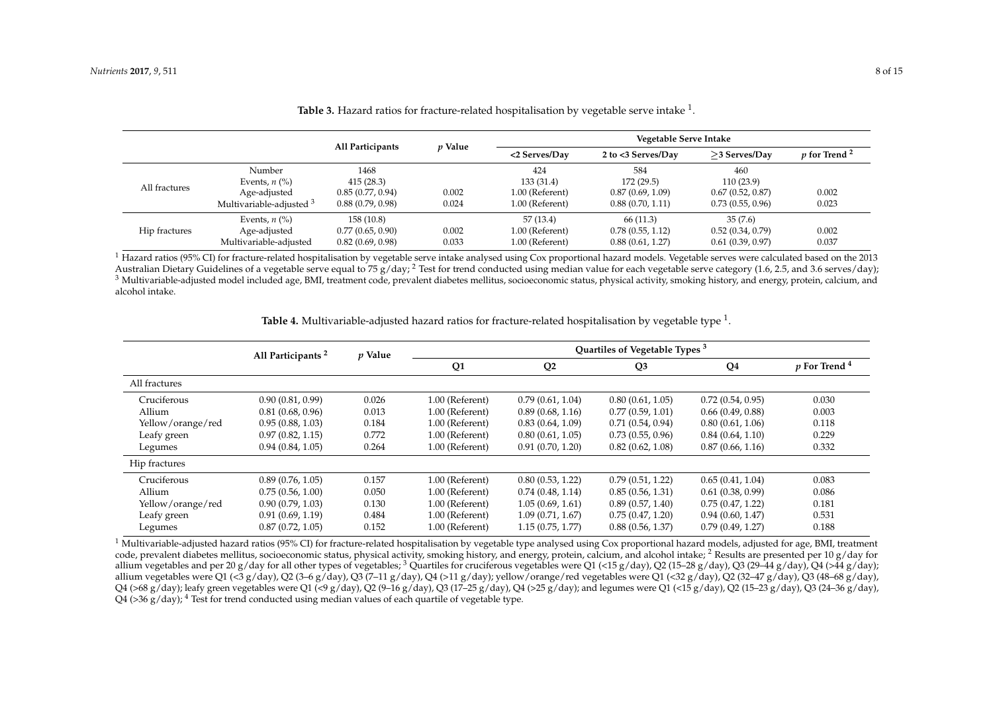|               |                                     | All Participants | p Value | Vegetable Serve Intake |                    |                  |                            |
|---------------|-------------------------------------|------------------|---------|------------------------|--------------------|------------------|----------------------------|
|               |                                     |                  |         | <2 Serves/Day          | 2 to <3 Serves/Day | $>$ 3 Serves/Day | $p$ for Trend <sup>2</sup> |
| All fractures | Number                              | 1468             |         | 424                    | 584                | 460              |                            |
|               | Events, $n$ $\left(\% \right)$      | 415(28.3)        |         | 133 (31.4)             | 172(29.5)          | 110(23.9)        |                            |
|               | Age-adjusted                        | 0.85(0.77, 0.94) | 0.002   | 1.00 (Referent)        | 0.87(0.69, 1.09)   | 0.67(0.52, 0.87) | 0.002                      |
|               | Multivariable-adjusted <sup>3</sup> | 0.88(0.79, 0.98) | 0.024   | 1.00 (Referent)        | 0.88(0.70, 1.11)   | 0.73(0.55, 0.96) | 0.023                      |
| Hip fractures | Events, $n$ (%)                     | 158 (10.8)       |         | 57 (13.4)              | 66 (11.3)          | 35(7.6)          |                            |
|               | Age-adjusted                        | 0.77(0.65, 0.90) | 0.002   | 1.00 (Referent)        | 0.78(0.55, 1.12)   | 0.52(0.34, 0.79) | 0.002                      |
|               | Multivariable-adjusted              | 0.82(0.69, 0.98) | 0.033   | 1.00 (Referent)        | 0.88(0.61, 1.27)   | 0.61(0.39, 0.97) | 0.037                      |

**Table 3.** Hazard ratios for fracture-related hospitalisation by vegetable serve intake  $^1$ .

<sup>1</sup> Hazard ratios (95% CI) for fracture-related hospitalisation by vegetable serve intake analysed using Cox proportional hazard models. Vegetable serves were calculated based on the 2013 Australian Dietary Guidelines of a vegetable serve equal to 75 g/day; <sup>2</sup> Test for trend conducted using median value for each vegetable serve category (1.6, 2.5, and 3.6 serves/day); <sup>3</sup> Multivariable-adjusted model included age, BMI, treatment code, prevalent diabetes mellitus, socioeconomic status, physical activity, smoking history, and energy, protein, calcium, and alcohol intake.

**Table 4.** Multivariable-adjusted hazard ratios for fracture-related hospitalisation by vegetable type  $^1$ .

<span id="page-7-0"></span>

|                   | p Value<br>All Participants <sup>2</sup> |       | Quartiles of Vegetable Types <sup>3</sup> |                  |                  |                  |                            |  |
|-------------------|------------------------------------------|-------|-------------------------------------------|------------------|------------------|------------------|----------------------------|--|
|                   |                                          |       | Q <sub>1</sub>                            | Q <sub>2</sub>   | Q <sub>3</sub>   | Q <sub>4</sub>   | $p$ For Trend <sup>4</sup> |  |
| All fractures     |                                          |       |                                           |                  |                  |                  |                            |  |
| Cruciferous       | 0.90(0.81, 0.99)                         | 0.026 | 1.00 (Referent)                           | 0.79(0.61, 1.04) | 0.80(0.61, 1.05) | 0.72(0.54, 0.95) | 0.030                      |  |
| Allium            | 0.81(0.68, 0.96)                         | 0.013 | 1.00 (Referent)                           | 0.89(0.68, 1.16) | 0.77(0.59, 1.01) | 0.66(0.49, 0.88) | 0.003                      |  |
| Yellow/orange/red | 0.95(0.88, 1.03)                         | 0.184 | 1.00 (Referent)                           | 0.83(0.64, 1.09) | 0.71(0.54, 0.94) | 0.80(0.61, 1.06) | 0.118                      |  |
| Leafy green       | 0.97(0.82, 1.15)                         | 0.772 | 1.00 (Referent)                           | 0.80(0.61, 1.05) | 0.73(0.55, 0.96) | 0.84(0.64, 1.10) | 0.229                      |  |
| Legumes           | 0.94(0.84, 1.05)                         | 0.264 | 1.00 (Referent)                           | 0.91(0.70, 1.20) | 0.82(0.62, 1.08) | 0.87(0.66, 1.16) | 0.332                      |  |
| Hip fractures     |                                          |       |                                           |                  |                  |                  |                            |  |
| Cruciferous       | 0.89(0.76, 1.05)                         | 0.157 | 1.00 (Referent)                           | 0.80(0.53, 1.22) | 0.79(0.51, 1.22) | 0.65(0.41, 1.04) | 0.083                      |  |
| Allium            | 0.75(0.56, 1.00)                         | 0.050 | 1.00 (Referent)                           | 0.74(0.48, 1.14) | 0.85(0.56, 1.31) | 0.61(0.38, 0.99) | 0.086                      |  |
| Yellow/orange/red | 0.90(0.79, 1.03)                         | 0.130 | 1.00 (Referent)                           | 1.05(0.69, 1.61) | 0.89(0.57, 1.40) | 0.75(0.47, 1.22) | 0.181                      |  |
| Leafy green       | 0.91(0.69, 1.19)                         | 0.484 | 1.00 (Referent)                           | 1.09(0.71, 1.67) | 0.75(0.47, 1.20) | 0.94(0.60, 1.47) | 0.531                      |  |
| Legumes           | 0.87(0.72, 1.05)                         | 0.152 | 1.00 (Referent)                           | 1.15(0.75, 1.77) | 0.88(0.56, 1.37) | 0.79(0.49, 1.27) | 0.188                      |  |

<span id="page-7-1"></span><sup>1</sup> Multivariable-adjusted hazard ratios (95% CI) for fracture-related hospitalisation by vegetable type analysed using Cox proportional hazard models, adjusted for age, BMI, treatment code, prevalent diabetes mellitus, socioeconomic status, physical activity, smoking history, and energy, protein, calcium, and alcohol intake; <sup>2</sup> Results are presented per 10 g/day for allium vegetables and per 20 g/day for all other types of vegetables; <sup>3</sup> Quartiles for cruciferous vegetables were Q1 (<15 g/day), Q2 (15–28 g/day), Q3 (29–44 g/day), Q4 (>44 g/day); allium vegetables were Q1 (<3 g/day), Q2 (3–6 g/day), Q3 (7–11 g/day), Q4 (>11 g/day); yellow/orange/red vegetables were Q1 (<32 g/day), Q2 (32–47 g/day), Q3 (48–68 g/day), Q4 (>68 g/day); leafy green vegetables were Q1 (<9 g/day), Q2 (9–16 g/day), Q3 (17–25 g/day), Q4 (>25 g/day); and legumes were Q1 (<15 g/day), Q2 (15–23 g/day), Q3 (24–36 g/day),  $Q4$  (>36 g/day); <sup>4</sup> Test for trend conducted using median values of each quartile of vegetable type.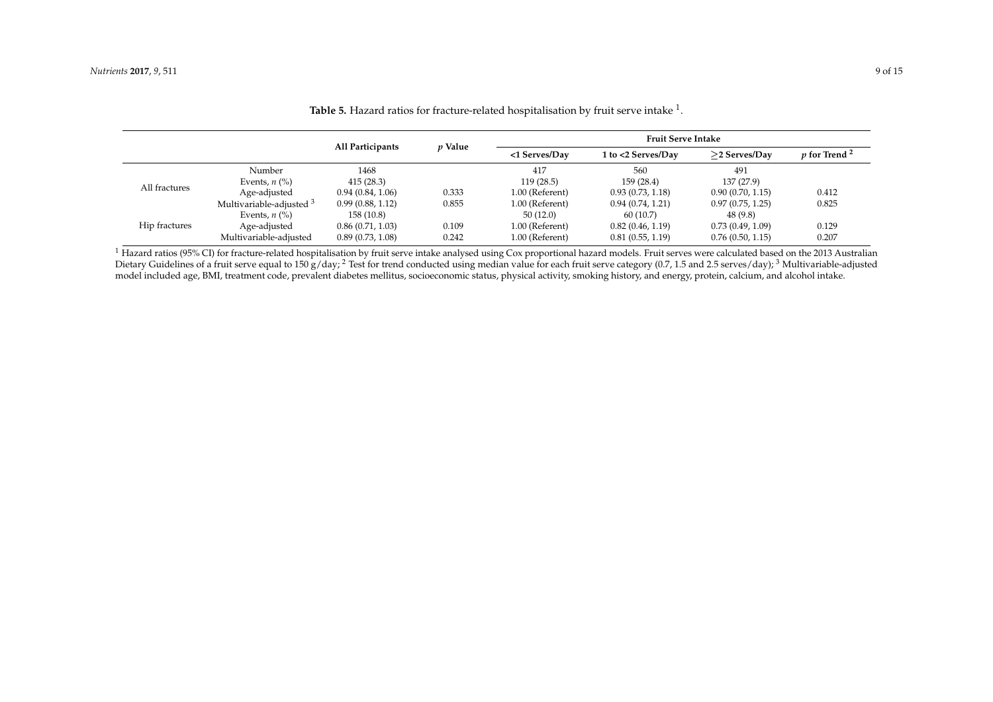|               |                                     |                  | <i>v</i> Value | <b>Fruit Serve Intake</b> |                    |                  |                                 |
|---------------|-------------------------------------|------------------|----------------|---------------------------|--------------------|------------------|---------------------------------|
|               |                                     | All Participants |                | <1 Serves/Day             | 1 to <2 Serves/Day | $>$ 2 Serves/Day | <i>p</i> for Trend <sup>2</sup> |
| All fractures | Number                              | 1468             |                | 417                       | 560                | 491              |                                 |
|               | Events, $n$ $\left(\% \right)$      | 415(28.3)        |                | 119(28.5)                 | 159 (28.4)         | 137 (27.9)       |                                 |
|               | Age-adjusted                        | 0.94(0.84, 1.06) | 0.333          | 1.00 (Referent)           | 0.93(0.73, 1.18)   | 0.90(0.70, 1.15) | 0.412                           |
|               | Multivariable-adjusted <sup>3</sup> | 0.99(0.88, 1.12) | 0.855          | 1.00 (Referent)           | 0.94(0.74, 1.21)   | 0.97(0.75, 1.25) | 0.825                           |
| Hip fractures | Events, $n$ $\left(\% \right)$      | 158 (10.8)       |                | 50(12.0)                  | 60(10.7)           | 48(9.8)          |                                 |
|               | Age-adjusted                        | 0.86(0.71, 1.03) | 0.109          | 1.00 (Referent)           | 0.82(0.46, 1.19)   | 0.73(0.49, 1.09) | 0.129                           |
|               | Multivariable-adjusted              | 0.89(0.73, 1.08) | 0.242          | 1.00 (Referent)           | 0.81(0.55, 1.19)   | 0.76(0.50, 1.15) | 0.207                           |

**Table 5.** Hazard ratios for fracture-related hospitalisation by fruit serve intake <sup>1</sup>.

<span id="page-8-0"></span> $^1$  Hazard ratios (95% CI) for fracture-related hospitalisation by fruit serve intake analysed using Cox proportional hazard models. Fruit serves were calculated based on the 2013 Australian Dietary Guidelines of a fruit serve equal to 150 g/day;  $^2$  Test for trend conducted using median value for each fruit serve category (0.7, 1.5 and 2.5 serves/day);  $^3$  Multivariable-adjusted model included age, BMI, treatment code, prevalent diabetes mellitus, socioeconomic status, physical activity, smoking history, and energy, protein, calcium, and alcohol intake.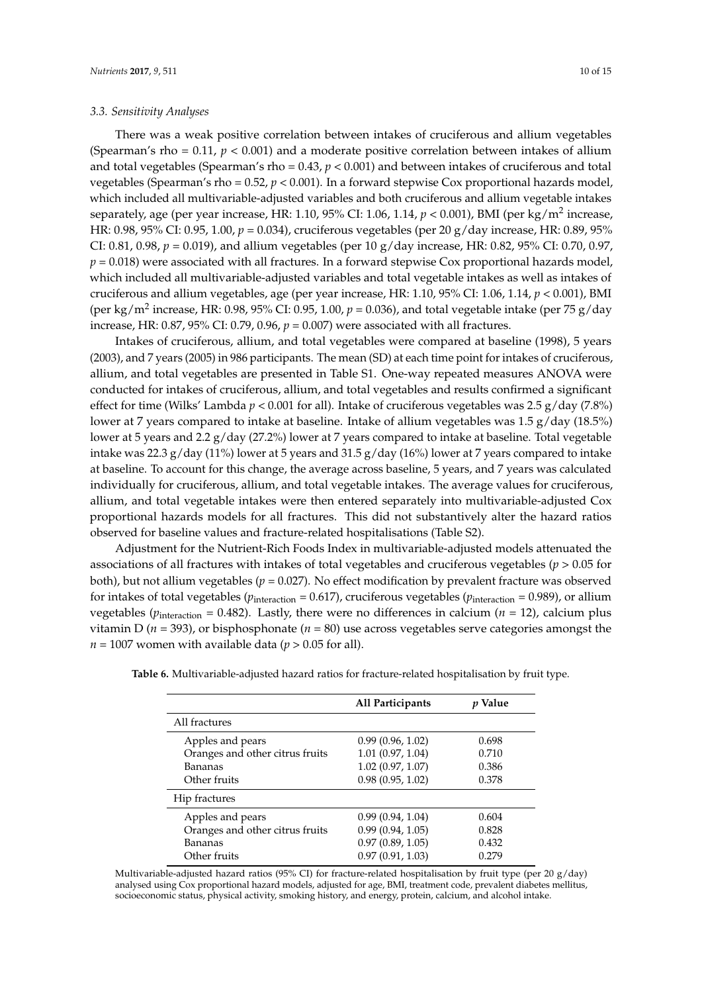#### *3.3. Sensitivity Analyses*

There was a weak positive correlation between intakes of cruciferous and allium vegetables (Spearman's rho =  $0.11$ ,  $p < 0.001$ ) and a moderate positive correlation between intakes of allium and total vegetables (Spearman's rho = 0.43, *p* < 0.001) and between intakes of cruciferous and total vegetables (Spearman's rho = 0.52, *p* < 0.001). In a forward stepwise Cox proportional hazards model, which included all multivariable-adjusted variables and both cruciferous and allium vegetable intakes separately, age (per year increase, HR: 1.10, 95% CI: 1.06, 1.14, *p* < 0.001), BMI (per kg/m<sup>2</sup> increase, HR: 0.98, 95% CI: 0.95, 1.00, *p* = 0.034), cruciferous vegetables (per 20 g/day increase, HR: 0.89, 95% CI: 0.81, 0.98, *p* = 0.019), and allium vegetables (per 10 g/day increase, HR: 0.82, 95% CI: 0.70, 0.97,  $p = 0.018$ ) were associated with all fractures. In a forward stepwise Cox proportional hazards model, which included all multivariable-adjusted variables and total vegetable intakes as well as intakes of cruciferous and allium vegetables, age (per year increase, HR: 1.10, 95% CI: 1.06, 1.14, *p* < 0.001), BMI (per kg/m<sup>2</sup> increase, HR: 0.98, 95% CI: 0.95, 1.00, *p* = 0.036), and total vegetable intake (per 75 g/day increase, HR: 0.87, 95% CI: 0.79, 0.96, *p* = 0.007) were associated with all fractures.

Intakes of cruciferous, allium, and total vegetables were compared at baseline (1998), 5 years (2003), and 7 years (2005) in 986 participants. The mean (SD) at each time point for intakes of cruciferous, allium, and total vegetables are presented in Table S1. One-way repeated measures ANOVA were conducted for intakes of cruciferous, allium, and total vegetables and results confirmed a significant effect for time (Wilks' Lambda *p* < 0.001 for all). Intake of cruciferous vegetables was 2.5 g/day (7.8%) lower at 7 years compared to intake at baseline. Intake of allium vegetables was 1.5  $g$ /day (18.5%) lower at 5 years and 2.2 g/day (27.2%) lower at 7 years compared to intake at baseline. Total vegetable intake was 22.3  $g$ /day (11%) lower at 5 years and 31.5  $g$ /day (16%) lower at 7 years compared to intake at baseline. To account for this change, the average across baseline, 5 years, and 7 years was calculated individually for cruciferous, allium, and total vegetable intakes. The average values for cruciferous, allium, and total vegetable intakes were then entered separately into multivariable-adjusted Cox proportional hazards models for all fractures. This did not substantively alter the hazard ratios observed for baseline values and fracture-related hospitalisations (Table S2).

Adjustment for the Nutrient-Rich Foods Index in multivariable-adjusted models attenuated the associations of all fractures with intakes of total vegetables and cruciferous vegetables (*p* > 0.05 for both), but not allium vegetables ( $p = 0.027$ ). No effect modification by prevalent fracture was observed for intakes of total vegetables ( $p_{\text{interaction}} = 0.617$ ), cruciferous vegetables ( $p_{\text{interaction}} = 0.989$ ), or allium vegetables ( $p_{\text{interaction}} = 0.482$ ). Lastly, there were no differences in calcium ( $n = 12$ ), calcium plus vitamin D ( $n = 393$ ), or bisphosphonate ( $n = 80$ ) use across vegetables serve categories amongst the  $n = 1007$  women with available data ( $p > 0.05$  for all).

|                                 | All Participants    | <i>p</i> Value |
|---------------------------------|---------------------|----------------|
| All fractures                   |                     |                |
| Apples and pears                | 0.99(0.96, 1.02)    | 0.698          |
| Oranges and other citrus fruits | 1.01(0.97, 1.04)    | 0.710          |
| Bananas                         | $1.02$ (0.97, 1.07) | 0.386          |
| Other fruits                    | 0.98(0.95, 1.02)    | 0.378          |
| Hip fractures                   |                     |                |
| Apples and pears                | 0.99(0.94, 1.04)    | 0.604          |
| Oranges and other citrus fruits | 0.99(0.94, 1.05)    | 0.828          |
| Bananas                         | 0.97(0.89, 1.05)    | 0.432          |
| Other fruits                    | 0.97(0.91, 1.03)    | 0.279          |

<span id="page-9-0"></span>**Table 6.** Multivariable-adjusted hazard ratios for fracture-related hospitalisation by fruit type.

Multivariable-adjusted hazard ratios (95% CI) for fracture-related hospitalisation by fruit type (per 20 g/day) analysed using Cox proportional hazard models, adjusted for age, BMI, treatment code, prevalent diabetes mellitus, socioeconomic status, physical activity, smoking history, and energy, protein, calcium, and alcohol intake.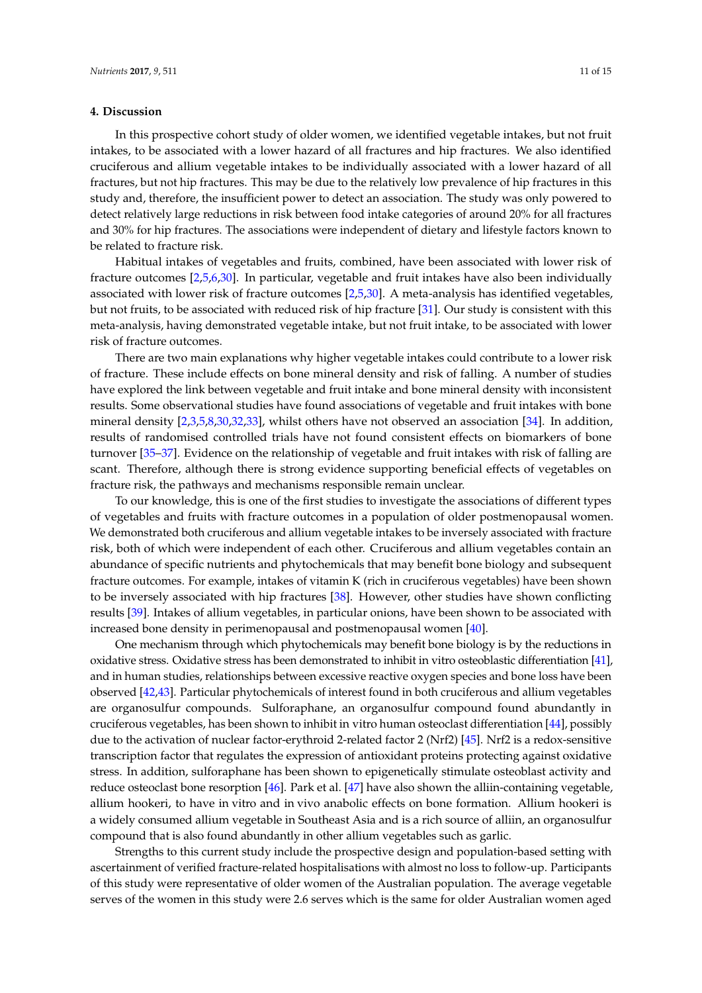## **4. Discussion**

In this prospective cohort study of older women, we identified vegetable intakes, but not fruit intakes, to be associated with a lower hazard of all fractures and hip fractures. We also identified cruciferous and allium vegetable intakes to be individually associated with a lower hazard of all fractures, but not hip fractures. This may be due to the relatively low prevalence of hip fractures in this study and, therefore, the insufficient power to detect an association. The study was only powered to detect relatively large reductions in risk between food intake categories of around 20% for all fractures and 30% for hip fractures. The associations were independent of dietary and lifestyle factors known to be related to fracture risk.

Habitual intakes of vegetables and fruits, combined, have been associated with lower risk of fracture outcomes [\[2](#page-12-6)[,5](#page-12-1)[,6](#page-12-12)[,30\]](#page-13-15). In particular, vegetable and fruit intakes have also been individually associated with lower risk of fracture outcomes [\[2](#page-12-6)[,5](#page-12-1)[,30\]](#page-13-15). A meta-analysis has identified vegetables, but not fruits, to be associated with reduced risk of hip fracture [\[31\]](#page-13-16). Our study is consistent with this meta-analysis, having demonstrated vegetable intake, but not fruit intake, to be associated with lower risk of fracture outcomes.

There are two main explanations why higher vegetable intakes could contribute to a lower risk of fracture. These include effects on bone mineral density and risk of falling. A number of studies have explored the link between vegetable and fruit intake and bone mineral density with inconsistent results. Some observational studies have found associations of vegetable and fruit intakes with bone mineral density [\[2](#page-12-6)[,3](#page-12-7)[,5](#page-12-1)[,8](#page-12-4)[,30,](#page-13-15)[32](#page-13-17)[,33\]](#page-13-18), whilst others have not observed an association [\[34\]](#page-13-19). In addition, results of randomised controlled trials have not found consistent effects on biomarkers of bone turnover [\[35–](#page-13-20)[37\]](#page-14-0). Evidence on the relationship of vegetable and fruit intakes with risk of falling are scant. Therefore, although there is strong evidence supporting beneficial effects of vegetables on fracture risk, the pathways and mechanisms responsible remain unclear.

To our knowledge, this is one of the first studies to investigate the associations of different types of vegetables and fruits with fracture outcomes in a population of older postmenopausal women. We demonstrated both cruciferous and allium vegetable intakes to be inversely associated with fracture risk, both of which were independent of each other. Cruciferous and allium vegetables contain an abundance of specific nutrients and phytochemicals that may benefit bone biology and subsequent fracture outcomes. For example, intakes of vitamin K (rich in cruciferous vegetables) have been shown to be inversely associated with hip fractures [\[38\]](#page-14-1). However, other studies have shown conflicting results [\[39\]](#page-14-2). Intakes of allium vegetables, in particular onions, have been shown to be associated with increased bone density in perimenopausal and postmenopausal women [\[40\]](#page-14-3).

One mechanism through which phytochemicals may benefit bone biology is by the reductions in oxidative stress. Oxidative stress has been demonstrated to inhibit in vitro osteoblastic differentiation [\[41\]](#page-14-4), and in human studies, relationships between excessive reactive oxygen species and bone loss have been observed [\[42,](#page-14-5)[43\]](#page-14-6). Particular phytochemicals of interest found in both cruciferous and allium vegetables are organosulfur compounds. Sulforaphane, an organosulfur compound found abundantly in cruciferous vegetables, has been shown to inhibit in vitro human osteoclast differentiation [\[44\]](#page-14-7), possibly due to the activation of nuclear factor-erythroid 2-related factor 2 (Nrf2) [\[45\]](#page-14-8). Nrf2 is a redox-sensitive transcription factor that regulates the expression of antioxidant proteins protecting against oxidative stress. In addition, sulforaphane has been shown to epigenetically stimulate osteoblast activity and reduce osteoclast bone resorption [\[46\]](#page-14-9). Park et al. [\[47\]](#page-14-10) have also shown the alliin-containing vegetable, allium hookeri, to have in vitro and in vivo anabolic effects on bone formation. Allium hookeri is a widely consumed allium vegetable in Southeast Asia and is a rich source of alliin, an organosulfur compound that is also found abundantly in other allium vegetables such as garlic.

Strengths to this current study include the prospective design and population-based setting with ascertainment of verified fracture-related hospitalisations with almost no loss to follow-up. Participants of this study were representative of older women of the Australian population. The average vegetable serves of the women in this study were 2.6 serves which is the same for older Australian women aged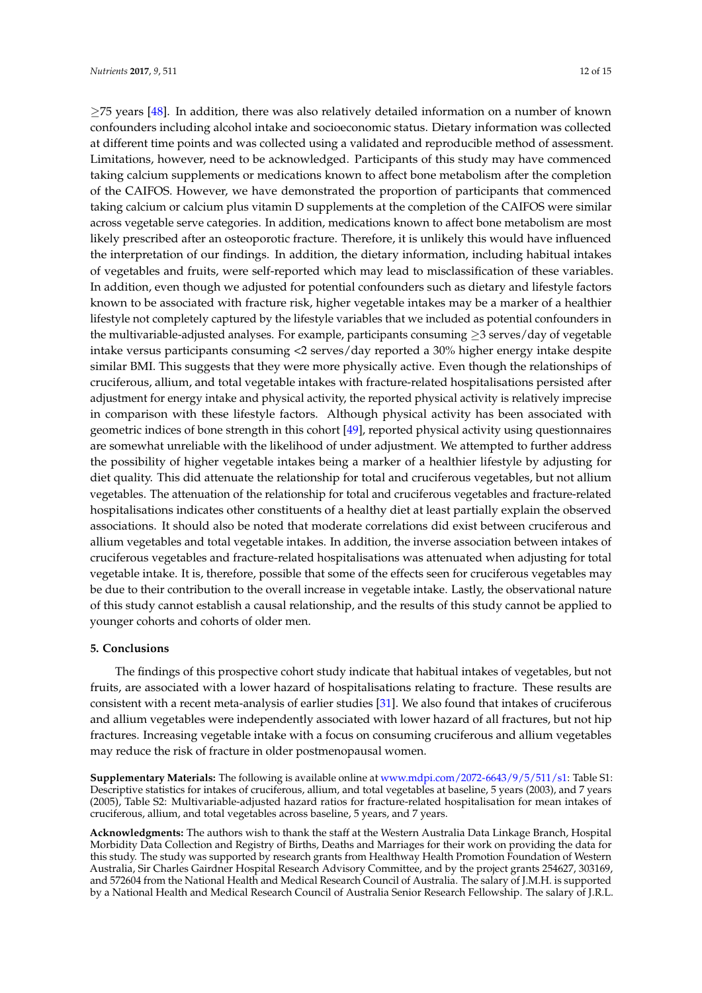$\geq$ 75 years [\[48\]](#page-14-11). In addition, there was also relatively detailed information on a number of known confounders including alcohol intake and socioeconomic status. Dietary information was collected at different time points and was collected using a validated and reproducible method of assessment. Limitations, however, need to be acknowledged. Participants of this study may have commenced taking calcium supplements or medications known to affect bone metabolism after the completion of the CAIFOS. However, we have demonstrated the proportion of participants that commenced taking calcium or calcium plus vitamin D supplements at the completion of the CAIFOS were similar across vegetable serve categories. In addition, medications known to affect bone metabolism are most likely prescribed after an osteoporotic fracture. Therefore, it is unlikely this would have influenced the interpretation of our findings. In addition, the dietary information, including habitual intakes of vegetables and fruits, were self-reported which may lead to misclassification of these variables. In addition, even though we adjusted for potential confounders such as dietary and lifestyle factors known to be associated with fracture risk, higher vegetable intakes may be a marker of a healthier lifestyle not completely captured by the lifestyle variables that we included as potential confounders in the multivariable-adjusted analyses. For example, participants consuming  $\geq$ 3 serves/day of vegetable intake versus participants consuming <2 serves/day reported a 30% higher energy intake despite similar BMI. This suggests that they were more physically active. Even though the relationships of cruciferous, allium, and total vegetable intakes with fracture-related hospitalisations persisted after adjustment for energy intake and physical activity, the reported physical activity is relatively imprecise in comparison with these lifestyle factors. Although physical activity has been associated with geometric indices of bone strength in this cohort [\[49\]](#page-14-12), reported physical activity using questionnaires are somewhat unreliable with the likelihood of under adjustment. We attempted to further address the possibility of higher vegetable intakes being a marker of a healthier lifestyle by adjusting for diet quality. This did attenuate the relationship for total and cruciferous vegetables, but not allium vegetables. The attenuation of the relationship for total and cruciferous vegetables and fracture-related hospitalisations indicates other constituents of a healthy diet at least partially explain the observed associations. It should also be noted that moderate correlations did exist between cruciferous and allium vegetables and total vegetable intakes. In addition, the inverse association between intakes of cruciferous vegetables and fracture-related hospitalisations was attenuated when adjusting for total vegetable intake. It is, therefore, possible that some of the effects seen for cruciferous vegetables may be due to their contribution to the overall increase in vegetable intake. Lastly, the observational nature of this study cannot establish a causal relationship, and the results of this study cannot be applied to younger cohorts and cohorts of older men.

## **5. Conclusions**

The findings of this prospective cohort study indicate that habitual intakes of vegetables, but not fruits, are associated with a lower hazard of hospitalisations relating to fracture. These results are consistent with a recent meta-analysis of earlier studies [\[31\]](#page-13-16). We also found that intakes of cruciferous and allium vegetables were independently associated with lower hazard of all fractures, but not hip fractures. Increasing vegetable intake with a focus on consuming cruciferous and allium vegetables may reduce the risk of fracture in older postmenopausal women.

**Supplementary Materials:** The following is available online at [www.mdpi.com/2072-6643/9/5/511/s1:](www.mdpi.com/2072-6643/9/5/511/s1) Table S1: Descriptive statistics for intakes of cruciferous, allium, and total vegetables at baseline, 5 years (2003), and 7 years (2005), Table S2: Multivariable-adjusted hazard ratios for fracture-related hospitalisation for mean intakes of cruciferous, allium, and total vegetables across baseline, 5 years, and 7 years.

**Acknowledgments:** The authors wish to thank the staff at the Western Australia Data Linkage Branch, Hospital Morbidity Data Collection and Registry of Births, Deaths and Marriages for their work on providing the data for this study. The study was supported by research grants from Healthway Health Promotion Foundation of Western Australia, Sir Charles Gairdner Hospital Research Advisory Committee, and by the project grants 254627, 303169, and 572604 from the National Health and Medical Research Council of Australia. The salary of J.M.H. is supported by a National Health and Medical Research Council of Australia Senior Research Fellowship. The salary of J.R.L.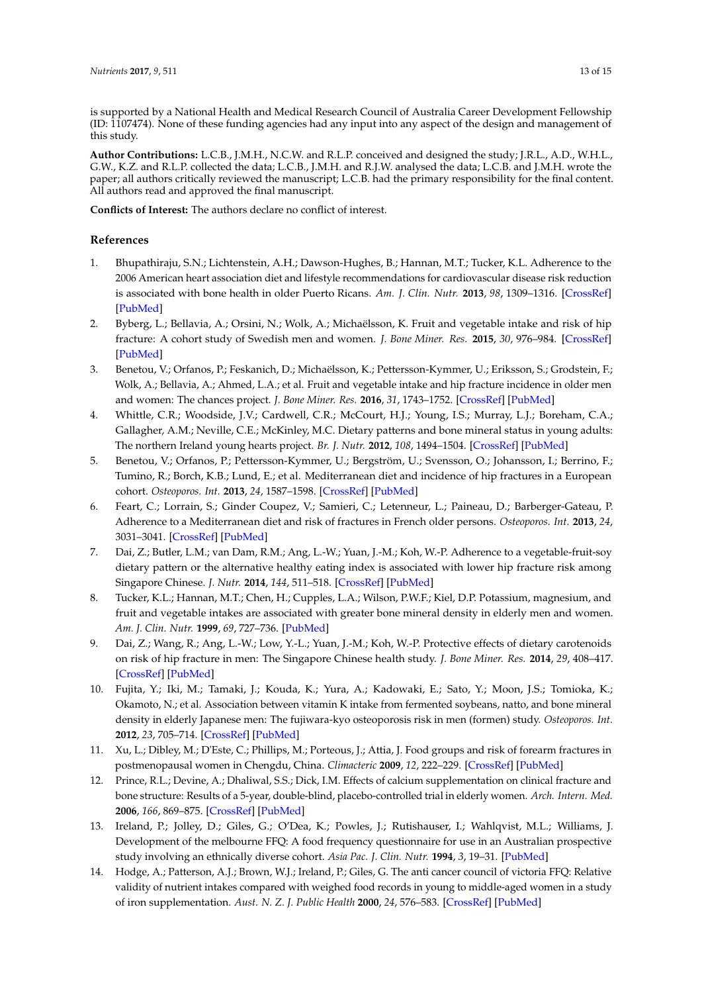is supported by a National Health and Medical Research Council of Australia Career Development Fellowship (ID: 1107474). None of these funding agencies had any input into any aspect of the design and management of this study.

**Author Contributions:** L.C.B., J.M.H., N.C.W. and R.L.P. conceived and designed the study; J.R.L., A.D., W.H.L., G.W., K.Z. and R.L.P. collected the data; L.C.B., J.M.H. and R.J.W. analysed the data; L.C.B. and J.M.H. wrote the paper; all authors critically reviewed the manuscript; L.C.B. had the primary responsibility for the final content. All authors read and approved the final manuscript.

**Conflicts of Interest:** The authors declare no conflict of interest.

## **References**

- <span id="page-12-0"></span>1. Bhupathiraju, S.N.; Lichtenstein, A.H.; Dawson-Hughes, B.; Hannan, M.T.; Tucker, K.L. Adherence to the 2006 American heart association diet and lifestyle recommendations for cardiovascular disease risk reduction is associated with bone health in older Puerto Ricans. *Am. J. Clin. Nutr.* **2013**, *98*, 1309–1316. [\[CrossRef\]](http://dx.doi.org/10.3945/ajcn.112.056267) [\[PubMed\]](http://www.ncbi.nlm.nih.gov/pubmed/24047918)
- <span id="page-12-6"></span>2. Byberg, L.; Bellavia, A.; Orsini, N.; Wolk, A.; Michaëlsson, K. Fruit and vegetable intake and risk of hip fracture: A cohort study of Swedish men and women. *J. Bone Miner. Res.* **2015**, *30*, 976–984. [\[CrossRef\]](http://dx.doi.org/10.1002/jbmr.2384) [\[PubMed\]](http://www.ncbi.nlm.nih.gov/pubmed/25294687)
- <span id="page-12-7"></span>3. Benetou, V.; Orfanos, P.; Feskanich, D.; Michaëlsson, K.; Pettersson-Kymmer, U.; Eriksson, S.; Grodstein, F.; Wolk, A.; Bellavia, A.; Ahmed, L.A.; et al. Fruit and vegetable intake and hip fracture incidence in older men and women: The chances project. *J. Bone Miner. Res.* **2016**, *31*, 1743–1752. [\[CrossRef\]](http://dx.doi.org/10.1002/jbmr.2850) [\[PubMed\]](http://www.ncbi.nlm.nih.gov/pubmed/27061845)
- <span id="page-12-2"></span>4. Whittle, C.R.; Woodside, J.V.; Cardwell, C.R.; McCourt, H.J.; Young, I.S.; Murray, L.J.; Boreham, C.A.; Gallagher, A.M.; Neville, C.E.; McKinley, M.C. Dietary patterns and bone mineral status in young adults: The northern Ireland young hearts project. *Br. J. Nutr.* **2012**, *108*, 1494–1504. [\[CrossRef\]](http://dx.doi.org/10.1017/S0007114511006787) [\[PubMed\]](http://www.ncbi.nlm.nih.gov/pubmed/22214826)
- <span id="page-12-1"></span>5. Benetou, V.; Orfanos, P.; Pettersson-Kymmer, U.; Bergström, U.; Svensson, O.; Johansson, I.; Berrino, F.; Tumino, R.; Borch, K.B.; Lund, E.; et al. Mediterranean diet and incidence of hip fractures in a European cohort. *Osteoporos. Int.* **2013**, *24*, 1587–1598. [\[CrossRef\]](http://dx.doi.org/10.1007/s00198-012-2187-3) [\[PubMed\]](http://www.ncbi.nlm.nih.gov/pubmed/23085859)
- <span id="page-12-12"></span>6. Feart, C.; Lorrain, S.; Ginder Coupez, V.; Samieri, C.; Letenneur, L.; Paineau, D.; Barberger-Gateau, P. Adherence to a Mediterranean diet and risk of fractures in French older persons. *Osteoporos. Int.* **2013**, *24*, 3031–3041. [\[CrossRef\]](http://dx.doi.org/10.1007/s00198-013-2421-7) [\[PubMed\]](http://www.ncbi.nlm.nih.gov/pubmed/23783645)
- <span id="page-12-3"></span>7. Dai, Z.; Butler, L.M.; van Dam, R.M.; Ang, L.-W.; Yuan, J.-M.; Koh, W.-P. Adherence to a vegetable-fruit-soy dietary pattern or the alternative healthy eating index is associated with lower hip fracture risk among Singapore Chinese. *J. Nutr.* **2014**, *144*, 511–518. [\[CrossRef\]](http://dx.doi.org/10.3945/jn.113.187955) [\[PubMed\]](http://www.ncbi.nlm.nih.gov/pubmed/24572035)
- <span id="page-12-4"></span>8. Tucker, K.L.; Hannan, M.T.; Chen, H.; Cupples, L.A.; Wilson, P.W.F.; Kiel, D.P. Potassium, magnesium, and fruit and vegetable intakes are associated with greater bone mineral density in elderly men and women. *Am. J. Clin. Nutr.* **1999**, *69*, 727–736. [\[PubMed\]](http://www.ncbi.nlm.nih.gov/pubmed/10197575)
- <span id="page-12-8"></span>9. Dai, Z.; Wang, R.; Ang, L.-W.; Low, Y.-L.; Yuan, J.-M.; Koh, W.-P. Protective effects of dietary carotenoids on risk of hip fracture in men: The Singapore Chinese health study. *J. Bone Miner. Res.* **2014**, *29*, 408–417. [\[CrossRef\]](http://dx.doi.org/10.1002/jbmr.2041) [\[PubMed\]](http://www.ncbi.nlm.nih.gov/pubmed/23857780)
- <span id="page-12-5"></span>10. Fujita, Y.; Iki, M.; Tamaki, J.; Kouda, K.; Yura, A.; Kadowaki, E.; Sato, Y.; Moon, J.S.; Tomioka, K.; Okamoto, N.; et al. Association between vitamin K intake from fermented soybeans, natto, and bone mineral density in elderly Japanese men: The fujiwara-kyo osteoporosis risk in men (formen) study. *Osteoporos. Int.* **2012**, *23*, 705–714. [\[CrossRef\]](http://dx.doi.org/10.1007/s00198-011-1594-1) [\[PubMed\]](http://www.ncbi.nlm.nih.gov/pubmed/21394493)
- <span id="page-12-9"></span>11. Xu, L.; Dibley, M.; D'Este, C.; Phillips, M.; Porteous, J.; Attia, J. Food groups and risk of forearm fractures in postmenopausal women in Chengdu, China. *Climacteric* **2009**, *12*, 222–229. [\[CrossRef\]](http://dx.doi.org/10.1080/13697130802626958) [\[PubMed\]](http://www.ncbi.nlm.nih.gov/pubmed/19165654)
- <span id="page-12-10"></span>12. Prince, R.L.; Devine, A.; Dhaliwal, S.S.; Dick, I.M. Effects of calcium supplementation on clinical fracture and bone structure: Results of a 5-year, double-blind, placebo-controlled trial in elderly women. *Arch. Intern. Med.* **2006**, *166*, 869–875. [\[CrossRef\]](http://dx.doi.org/10.1001/archinte.166.8.869) [\[PubMed\]](http://www.ncbi.nlm.nih.gov/pubmed/16636212)
- <span id="page-12-11"></span>13. Ireland, P.; Jolley, D.; Giles, G.; O'Dea, K.; Powles, J.; Rutishauser, I.; Wahlqvist, M.L.; Williams, J. Development of the melbourne FFQ: A food frequency questionnaire for use in an Australian prospective study involving an ethnically diverse cohort. *Asia Pac. J. Clin. Nutr.* **1994**, *3*, 19–31. [\[PubMed\]](http://www.ncbi.nlm.nih.gov/pubmed/24351203)
- 14. Hodge, A.; Patterson, A.J.; Brown, W.J.; Ireland, P.; Giles, G. The anti cancer council of victoria FFQ: Relative validity of nutrient intakes compared with weighed food records in young to middle-aged women in a study of iron supplementation. *Aust. N. Z. J. Public Health* **2000**, *24*, 576–583. [\[CrossRef\]](http://dx.doi.org/10.1111/j.1467-842X.2000.tb00520.x) [\[PubMed\]](http://www.ncbi.nlm.nih.gov/pubmed/11215004)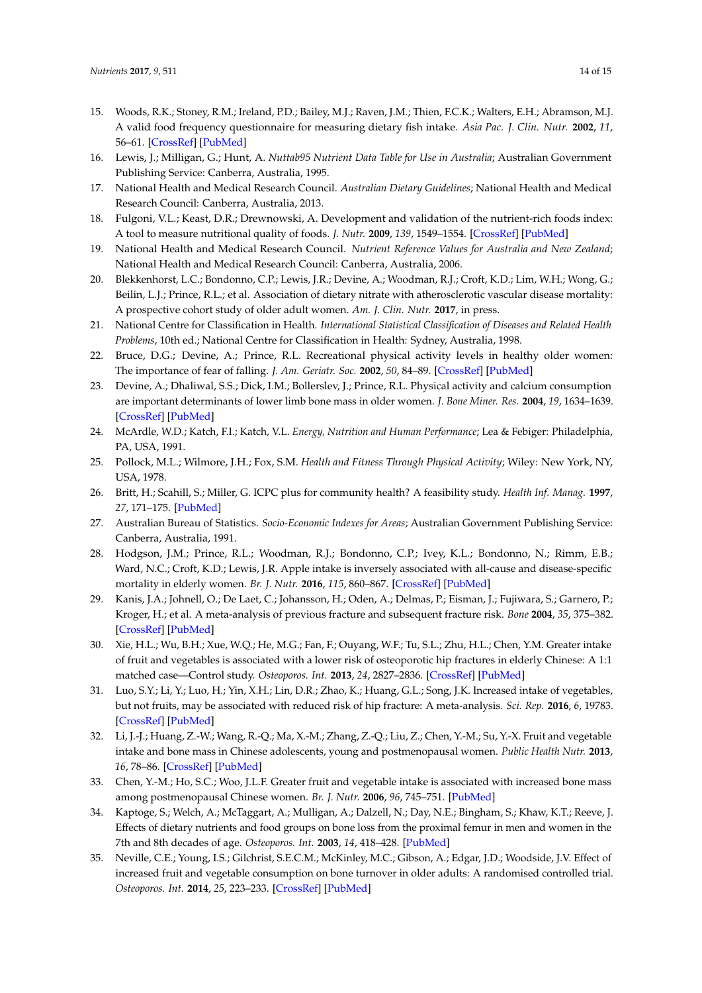- <span id="page-13-0"></span>15. Woods, R.K.; Stoney, R.M.; Ireland, P.D.; Bailey, M.J.; Raven, J.M.; Thien, F.C.K.; Walters, E.H.; Abramson, M.J. A valid food frequency questionnaire for measuring dietary fish intake. *Asia Pac. J. Clin. Nutr.* **2002**, *11*, 56–61. [\[CrossRef\]](http://dx.doi.org/10.1046/j.1440-6047.2002.00273.x) [\[PubMed\]](http://www.ncbi.nlm.nih.gov/pubmed/11892722)
- <span id="page-13-1"></span>16. Lewis, J.; Milligan, G.; Hunt, A. *Nuttab95 Nutrient Data Table for Use in Australia*; Australian Government Publishing Service: Canberra, Australia, 1995.
- <span id="page-13-2"></span>17. National Health and Medical Research Council. *Australian Dietary Guidelines*; National Health and Medical Research Council: Canberra, Australia, 2013.
- <span id="page-13-3"></span>18. Fulgoni, V.L.; Keast, D.R.; Drewnowski, A. Development and validation of the nutrient-rich foods index: A tool to measure nutritional quality of foods. *J. Nutr.* **2009**, *139*, 1549–1554. [\[CrossRef\]](http://dx.doi.org/10.3945/jn.108.101360) [\[PubMed\]](http://www.ncbi.nlm.nih.gov/pubmed/19549759)
- <span id="page-13-4"></span>19. National Health and Medical Research Council. *Nutrient Reference Values for Australia and New Zealand*; National Health and Medical Research Council: Canberra, Australia, 2006.
- <span id="page-13-5"></span>20. Blekkenhorst, L.C.; Bondonno, C.P.; Lewis, J.R.; Devine, A.; Woodman, R.J.; Croft, K.D.; Lim, W.H.; Wong, G.; Beilin, L.J.; Prince, R.L.; et al. Association of dietary nitrate with atherosclerotic vascular disease mortality: A prospective cohort study of older adult women. *Am. J. Clin. Nutr.* **2017**, in press.
- <span id="page-13-6"></span>21. National Centre for Classification in Health. *International Statistical Classification of Diseases and Related Health Problems*, 10th ed.; National Centre for Classification in Health: Sydney, Australia, 1998.
- <span id="page-13-7"></span>22. Bruce, D.G.; Devine, A.; Prince, R.L. Recreational physical activity levels in healthy older women: The importance of fear of falling. *J. Am. Geriatr. Soc.* **2002**, *50*, 84–89. [\[CrossRef\]](http://dx.doi.org/10.1046/j.1532-5415.2002.50012.x) [\[PubMed\]](http://www.ncbi.nlm.nih.gov/pubmed/12028251)
- <span id="page-13-8"></span>23. Devine, A.; Dhaliwal, S.S.; Dick, I.M.; Bollerslev, J.; Prince, R.L. Physical activity and calcium consumption are important determinants of lower limb bone mass in older women. *J. Bone Miner. Res.* **2004**, *19*, 1634–1639. [\[CrossRef\]](http://dx.doi.org/10.1359/JBMR.040804) [\[PubMed\]](http://www.ncbi.nlm.nih.gov/pubmed/15355558)
- <span id="page-13-9"></span>24. McArdle, W.D.; Katch, F.I.; Katch, V.L. *Energy, Nutrition and Human Performance*; Lea & Febiger: Philadelphia, PA, USA, 1991.
- <span id="page-13-10"></span>25. Pollock, M.L.; Wilmore, J.H.; Fox, S.M. *Health and Fitness Through Physical Activity*; Wiley: New York, NY, USA, 1978.
- <span id="page-13-11"></span>26. Britt, H.; Scahill, S.; Miller, G. ICPC plus for community health? A feasibility study. *Health Inf. Manag.* **1997**, *27*, 171–175. [\[PubMed\]](http://www.ncbi.nlm.nih.gov/pubmed/10178424)
- <span id="page-13-12"></span>27. Australian Bureau of Statistics. *Socio-Economic Indexes for Areas*; Australian Government Publishing Service: Canberra, Australia, 1991.
- <span id="page-13-13"></span>28. Hodgson, J.M.; Prince, R.L.; Woodman, R.J.; Bondonno, C.P.; Ivey, K.L.; Bondonno, N.; Rimm, E.B.; Ward, N.C.; Croft, K.D.; Lewis, J.R. Apple intake is inversely associated with all-cause and disease-specific mortality in elderly women. *Br. J. Nutr.* **2016**, *115*, 860–867. [\[CrossRef\]](http://dx.doi.org/10.1017/S0007114515005231) [\[PubMed\]](http://www.ncbi.nlm.nih.gov/pubmed/26787402)
- <span id="page-13-14"></span>29. Kanis, J.A.; Johnell, O.; De Laet, C.; Johansson, H.; Oden, A.; Delmas, P.; Eisman, J.; Fujiwara, S.; Garnero, P.; Kroger, H.; et al. A meta-analysis of previous fracture and subsequent fracture risk. *Bone* **2004**, *35*, 375–382. [\[CrossRef\]](http://dx.doi.org/10.1016/j.bone.2004.03.024) [\[PubMed\]](http://www.ncbi.nlm.nih.gov/pubmed/15268886)
- <span id="page-13-15"></span>30. Xie, H.L.; Wu, B.H.; Xue, W.Q.; He, M.G.; Fan, F.; Ouyang, W.F.; Tu, S.L.; Zhu, H.L.; Chen, Y.M. Greater intake of fruit and vegetables is associated with a lower risk of osteoporotic hip fractures in elderly Chinese: A 1:1 matched case—Control study. *Osteoporos. Int.* **2013**, *24*, 2827–2836. [\[CrossRef\]](http://dx.doi.org/10.1007/s00198-013-2383-9) [\[PubMed\]](http://www.ncbi.nlm.nih.gov/pubmed/23673464)
- <span id="page-13-16"></span>31. Luo, S.Y.; Li, Y.; Luo, H.; Yin, X.H.; Lin, D.R.; Zhao, K.; Huang, G.L.; Song, J.K. Increased intake of vegetables, but not fruits, may be associated with reduced risk of hip fracture: A meta-analysis. *Sci. Rep.* **2016**, *6*, 19783. [\[CrossRef\]](http://dx.doi.org/10.1038/srep19783) [\[PubMed\]](http://www.ncbi.nlm.nih.gov/pubmed/26806285)
- <span id="page-13-17"></span>32. Li, J.-J.; Huang, Z.-W.; Wang, R.-Q.; Ma, X.-M.; Zhang, Z.-Q.; Liu, Z.; Chen, Y.-M.; Su, Y.-X. Fruit and vegetable intake and bone mass in Chinese adolescents, young and postmenopausal women. *Public Health Nutr.* **2013**, *16*, 78–86. [\[CrossRef\]](http://dx.doi.org/10.1017/S1368980012001127) [\[PubMed\]](http://www.ncbi.nlm.nih.gov/pubmed/22717072)
- <span id="page-13-18"></span>33. Chen, Y.-M.; Ho, S.C.; Woo, J.L.F. Greater fruit and vegetable intake is associated with increased bone mass among postmenopausal Chinese women. *Br. J. Nutr.* **2006**, *96*, 745–751. [\[PubMed\]](http://www.ncbi.nlm.nih.gov/pubmed/17010235)
- <span id="page-13-19"></span>34. Kaptoge, S.; Welch, A.; McTaggart, A.; Mulligan, A.; Dalzell, N.; Day, N.E.; Bingham, S.; Khaw, K.T.; Reeve, J. Effects of dietary nutrients and food groups on bone loss from the proximal femur in men and women in the 7th and 8th decades of age. *Osteoporos. Int.* **2003**, *14*, 418–428. [\[PubMed\]](http://www.ncbi.nlm.nih.gov/pubmed/12730762)
- <span id="page-13-20"></span>35. Neville, C.E.; Young, I.S.; Gilchrist, S.E.C.M.; McKinley, M.C.; Gibson, A.; Edgar, J.D.; Woodside, J.V. Effect of increased fruit and vegetable consumption on bone turnover in older adults: A randomised controlled trial. *Osteoporos. Int.* **2014**, *25*, 223–233. [\[CrossRef\]](http://dx.doi.org/10.1007/s00198-013-2402-x) [\[PubMed\]](http://www.ncbi.nlm.nih.gov/pubmed/23716039)